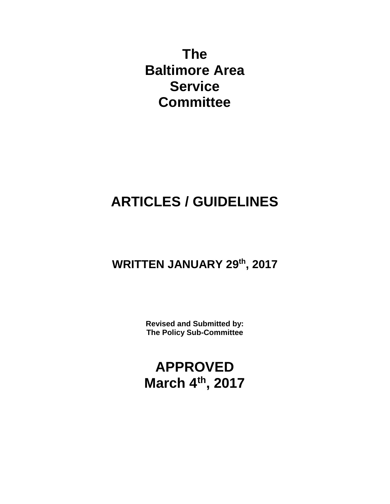**The Baltimore Area Service Committee**

# **ARTICLES / GUIDELINES**

## **WRITTEN JANUARY 29th, 2017**

**Revised and Submitted by: The Policy Sub-Committee**

**APPROVED March 4th, 2017**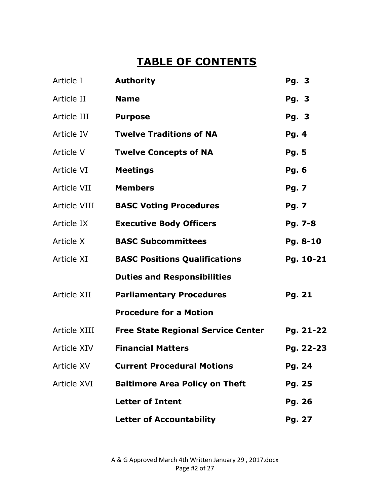## **TABLE OF CONTENTS**

| Article I          | <b>Authority</b>                          | Pg. 3         |
|--------------------|-------------------------------------------|---------------|
| Article II         | <b>Name</b>                               | Pg. 3         |
| Article III        | <b>Purpose</b>                            | Pg. 3         |
| Article IV         | <b>Twelve Traditions of NA</b>            | Pg. 4         |
| Article V          | <b>Twelve Concepts of NA</b>              | <b>Pg. 5</b>  |
| Article VI         | <b>Meetings</b>                           | <b>Pg. 6</b>  |
| Article VII        | <b>Members</b>                            | <b>Pg. 7</b>  |
| Article VIII       | <b>BASC Voting Procedures</b>             | <b>Pg. 7</b>  |
| Article IX         | <b>Executive Body Officers</b>            | Pg. 7-8       |
| Article X          | <b>BASC Subcommittees</b>                 | Pg. 8-10      |
| Article XI         | <b>BASC Positions Qualifications</b>      | Pg. 10-21     |
|                    | <b>Duties and Responsibilities</b>        |               |
| Article XII        | <b>Parliamentary Procedures</b>           | <b>Pg. 21</b> |
|                    | <b>Procedure for a Motion</b>             |               |
| Article XIII       | <b>Free State Regional Service Center</b> | Pg. 21-22     |
| <b>Article XIV</b> | <b>Financial Matters</b>                  | Pg. 22-23     |
| <b>Article XV</b>  | <b>Current Procedural Motions</b>         | Pg. 24        |
| <b>Article XVI</b> | <b>Baltimore Area Policy on Theft</b>     | Pg. 25        |
|                    | <b>Letter of Intent</b>                   | Pg. 26        |
|                    | <b>Letter of Accountability</b>           | Pg. 27        |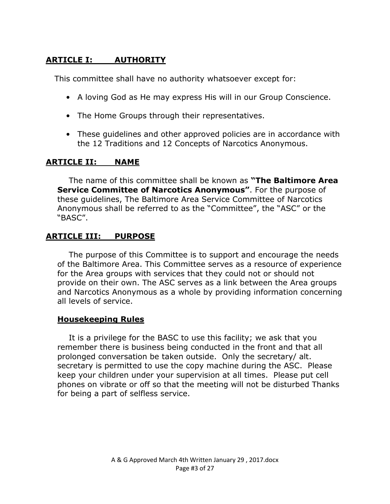#### **ARTICLE I: AUTHORITY**

This committee shall have no authority whatsoever except for:

- A loving God as He may express His will in our Group Conscience.
- The Home Groups through their representatives.
- These guidelines and other approved policies are in accordance with the 12 Traditions and 12 Concepts of Narcotics Anonymous.

#### **ARTICLE II: NAME**

The name of this committee shall be known as **"The Baltimore Area Service Committee of Narcotics Anonymous"**. For the purpose of these guidelines, The Baltimore Area Service Committee of Narcotics Anonymous shall be referred to as the "Committee", the "ASC" or the "BASC".

#### **ARTICLE III: PURPOSE**

The purpose of this Committee is to support and encourage the needs of the Baltimore Area. This Committee serves as a resource of experience for the Area groups with services that they could not or should not provide on their own. The ASC serves as a link between the Area groups and Narcotics Anonymous as a whole by providing information concerning all levels of service.

#### **Housekeeping Rules**

It is a privilege for the BASC to use this facility; we ask that you remember there is business being conducted in the front and that all prolonged conversation be taken outside. Only the secretary/ alt. secretary is permitted to use the copy machine during the ASC. Please keep your children under your supervision at all times. Please put cell phones on vibrate or off so that the meeting will not be disturbed Thanks for being a part of selfless service.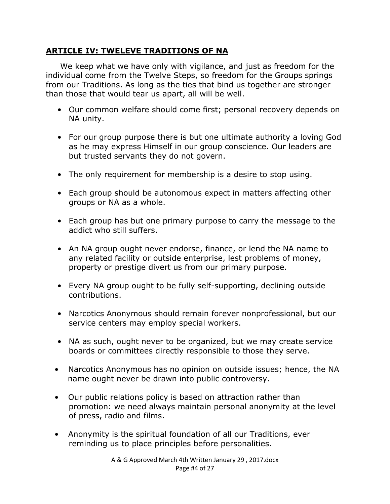#### **ARTICLE IV: TWELEVE TRADITIONS OF NA**

We keep what we have only with vigilance, and just as freedom for the individual come from the Twelve Steps, so freedom for the Groups springs from our Traditions. As long as the ties that bind us together are stronger than those that would tear us apart, all will be well.

- Our common welfare should come first; personal recovery depends on NA unity.
- For our group purpose there is but one ultimate authority a loving God as he may express Himself in our group conscience. Our leaders are but trusted servants they do not govern.
- The only requirement for membership is a desire to stop using.
- Each group should be autonomous expect in matters affecting other groups or NA as a whole.
- Each group has but one primary purpose to carry the message to the addict who still suffers.
- An NA group ought never endorse, finance, or lend the NA name to any related facility or outside enterprise, lest problems of money, property or prestige divert us from our primary purpose.
- Every NA group ought to be fully self-supporting, declining outside contributions.
- Narcotics Anonymous should remain forever nonprofessional, but our service centers may employ special workers.
- NA as such, ought never to be organized, but we may create service boards or committees directly responsible to those they serve.
- Narcotics Anonymous has no opinion on outside issues; hence, the NA name ought never be drawn into public controversy.
- Our public relations policy is based on attraction rather than promotion: we need always maintain personal anonymity at the level of press, radio and films.
- Anonymity is the spiritual foundation of all our Traditions, ever reminding us to place principles before personalities.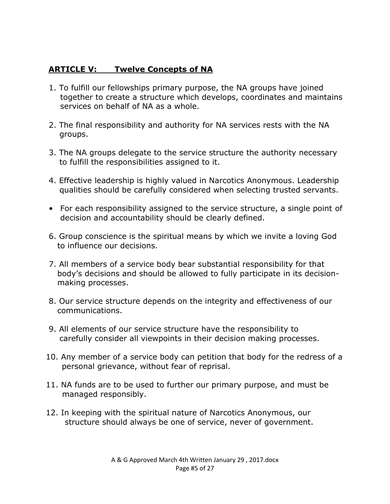#### **ARTICLE V: Twelve Concepts of NA**

- 1. To fulfill our fellowships primary purpose, the NA groups have joined together to create a structure which develops, coordinates and maintains services on behalf of NA as a whole.
- 2. The final responsibility and authority for NA services rests with the NA groups.
- 3. The NA groups delegate to the service structure the authority necessary to fulfill the responsibilities assigned to it.
- 4. Effective leadership is highly valued in Narcotics Anonymous. Leadership qualities should be carefully considered when selecting trusted servants.
- For each responsibility assigned to the service structure, a single point of decision and accountability should be clearly defined.
- 6. Group conscience is the spiritual means by which we invite a loving God to influence our decisions.
- 7. All members of a service body bear substantial responsibility for that body's decisions and should be allowed to fully participate in its decisionmaking processes.
- 8. Our service structure depends on the integrity and effectiveness of our communications.
- 9. All elements of our service structure have the responsibility to carefully consider all viewpoints in their decision making processes.
- 10. Any member of a service body can petition that body for the redress of a personal grievance, without fear of reprisal.
- 11. NA funds are to be used to further our primary purpose, and must be managed responsibly.
- 12. In keeping with the spiritual nature of Narcotics Anonymous, our structure should always be one of service, never of government.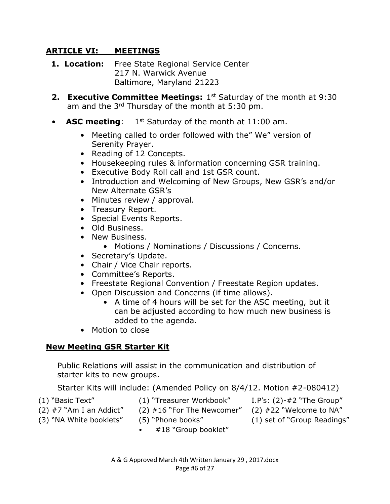#### **ARTICLE VI: MEETINGS**

- **1. Location:** Free State Regional Service Center 217 N. Warwick Avenue Baltimore, Maryland 21223
- **2. Executive Committee Meetings:** 1<sup>st</sup> Saturday of the month at 9:30 am and the 3rd Thursday of the month at 5:30 pm.
- **ASC meeting**: 1<sup>st</sup> Saturday of the month at 11:00 am.
	- Meeting called to order followed with the" We" version of Serenity Prayer.
	- Reading of 12 Concepts.
	- Housekeeping rules & information concerning GSR training.
	- Executive Body Roll call and 1st GSR count.
	- Introduction and Welcoming of New Groups, New GSR's and/or New Alternate GSR's
	- Minutes review / approval.
	- Treasury Report.
	- Special Events Reports.
	- Old Business.
	- New Business.
		- Motions / Nominations / Discussions / Concerns.
	- Secretary's Update.
	- Chair / Vice Chair reports.
	- Committee's Reports.
	- Freestate Regional Convention / Freestate Region updates.
	- Open Discussion and Concerns (if time allows).
		- A time of 4 hours will be set for the ASC meeting, but it can be adjusted according to how much new business is added to the agenda.
	- Motion to close

#### **New Meeting GSR Starter Kit**

Public Relations will assist in the communication and distribution of starter kits to new groups.

Starter Kits will include: (Amended Policy on 8/4/12. Motion #2-080412)

- 
- (1) "Basic Text" (1) "Treasurer Workbook" I.P's: (2)-#2 "The Group"
- 
- 
- (2)  $#7$  "Am I an Addict" (2)  $#16$  "For The Newcomer" (2)  $#22$  "Welcome to NA"
- (3) "NA White booklets" (5) "Phone books" (1) set of "Group Readings"
	- #18 "Group booklet"
- 
- A & G Approved March 4th Written January 29 , 2017.docx Page #6 of 27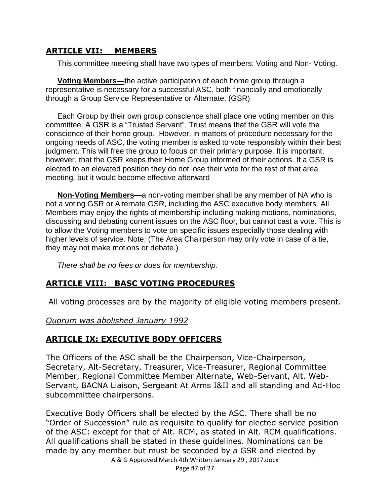#### **ARTICLE VII: MEMBERS**

This committee meeting shall have two types of members: Voting and Non- Voting.

**Voting Members—**the active participation of each home group through a representative is necessary for a successful ASC, both financially and emotionally through a Group Service Representative or Alternate. (GSR)

Each Group by their own group conscience shall place one voting member on this committee. A GSR is a "Trusted Servant". Trust means that the GSR will vote the conscience of their home group. However, in matters of procedure necessary for the ongoing needs of ASC, the voting member is asked to vote responsibly within their best judgment. This will free the group to focus on their primary purpose. It is important, however, that the GSR keeps their Home Group informed of their actions. If a GSR is elected to an elevated position they do not lose their vote for the rest of that area meeting, but it would become effective afterward

**Non-Voting Members—**a non-voting member shall be any member of NA who is not a voting GSR or Alternate GSR, including the ASC executive body members. All Members may enjoy the rights of membership including making motions, nominations, discussing and debating current issues on the ASC floor, but cannot cast a vote. This is to allow the Voting members to vote on specific issues especially those dealing with higher levels of service. Note: (The Area Chairperson may only vote in case of a tie, they may not make motions or debate.)

*There shall be no fees or dues for membership.*

#### **ARTICLE VIII: BASC VOTING PROCEDURES**

All voting processes are by the majority of eligible voting members present.

#### *Quorum was abolished January 1992*

#### **ARTICLE IX: EXECUTIVE BODY OFFICERS**

The Officers of the ASC shall be the Chairperson, Vice-Chairperson, Secretary, Alt-Secretary, Treasurer, Vice-Treasurer, Regional Committee Member, Regional Committee Member Alternate, Web-Servant, Alt. Web-Servant, BACNA Liaison, Sergeant At Arms I&II and all standing and Ad-Hoc subcommittee chairpersons.

A & G Approved March 4th Written January 29 , 2017.docx Executive Body Officers shall be elected by the ASC. There shall be no "Order of Succession" rule as requisite to qualify for elected service position of the ASC: except for that of Alt. RCM, as stated in Alt. RCM qualifications. All qualifications shall be stated in these guidelines. Nominations can be made by any member but must be seconded by a GSR and elected by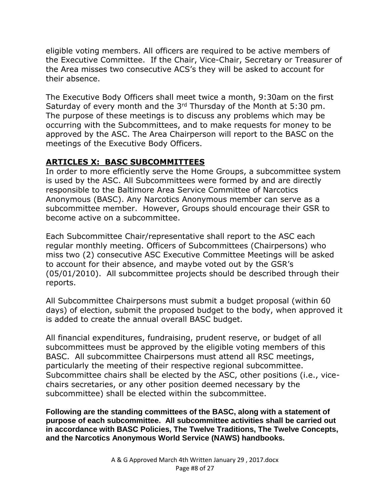eligible voting members. All officers are required to be active members of the Executive Committee.If the Chair, Vice-Chair, Secretary or Treasurer of the Area misses two consecutive ACS's they will be asked to account for their absence.

The Executive Body Officers shall meet twice a month, 9:30am on the first Saturday of every month and the 3rd Thursday of the Month at 5:30 pm. The purpose of these meetings is to discuss any problems which may be occurring with the Subcommittees, and to make requests for money to be approved by the ASC. The Area Chairperson will report to the BASC on the meetings of the Executive Body Officers.

#### **ARTICLES X: BASC SUBCOMMITTEES**

In order to more efficiently serve the Home Groups, a subcommittee system is used by the ASC. All Subcommittees were formed by and are directly responsible to the Baltimore Area Service Committee of Narcotics Anonymous (BASC). Any Narcotics Anonymous member can serve as a subcommittee member. However, Groups should encourage their GSR to become active on a subcommittee.

Each Subcommittee Chair/representative shall report to the ASC each regular monthly meeting. Officers of Subcommittees (Chairpersons) who miss two (2) consecutive ASC Executive Committee Meetings will be asked to account for their absence, and maybe voted out by the GSR's (05/01/2010). All subcommittee projects should be described through their reports.

All Subcommittee Chairpersons must submit a budget proposal (within 60 days) of election, submit the proposed budget to the body, when approved it is added to create the annual overall BASC budget.

All financial expenditures, fundraising, prudent reserve, or budget of all subcommittees must be approved by the eligible voting members of this BASC. All subcommittee Chairpersons must attend all RSC meetings, particularly the meeting of their respective regional subcommittee. Subcommittee chairs shall be elected by the ASC, other positions (i.e., vicechairs secretaries, or any other position deemed necessary by the subcommittee) shall be elected within the subcommittee.

**Following are the standing committees of the BASC, along with a statement of purpose of each subcommittee. All subcommittee activities shall be carried out in accordance with BASC Policies, The Twelve Traditions, The Twelve Concepts, and the Narcotics Anonymous World Service (NAWS) handbooks.**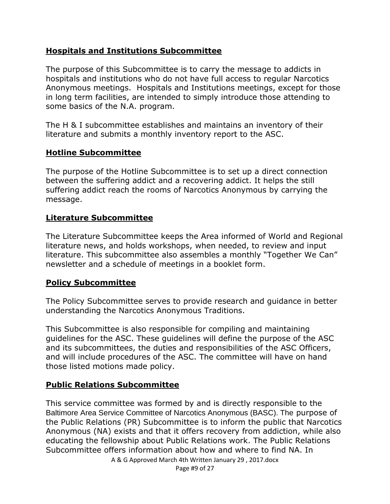#### **Hospitals and Institutions Subcommittee**

The purpose of this Subcommittee is to carry the message to addicts in hospitals and institutions who do not have full access to regular Narcotics Anonymous meetings. Hospitals and Institutions meetings, except for those in long term facilities, are intended to simply introduce those attending to some basics of the N.A. program.

The H & I subcommittee establishes and maintains an inventory of their literature and submits a monthly inventory report to the ASC.

#### **Hotline Subcommittee**

The purpose of the Hotline Subcommittee is to set up a direct connection between the suffering addict and a recovering addict. It helps the still suffering addict reach the rooms of Narcotics Anonymous by carrying the message.

#### **Literature Subcommittee**

The Literature Subcommittee keeps the Area informed of World and Regional literature news, and holds workshops, when needed, to review and input literature. This subcommittee also assembles a monthly "Together We Can" newsletter and a schedule of meetings in a booklet form.

#### **Policy Subcommittee**

The Policy Subcommittee serves to provide research and guidance in better understanding the Narcotics Anonymous Traditions.

This Subcommittee is also responsible for compiling and maintaining guidelines for the ASC. These guidelines will define the purpose of the ASC and its subcommittees, the duties and responsibilities of the ASC Officers, and will include procedures of the ASC. The committee will have on hand those listed motions made policy.

#### **Public Relations Subcommittee**

This service committee was formed by and is directly responsible to the Baltimore Area Service Committee of Narcotics Anonymous (BASC). The purpose of the Public Relations (PR) Subcommittee is to inform the public that Narcotics Anonymous (NA) exists and that it offers recovery from addiction, while also educating the fellowship about Public Relations work. The Public Relations Subcommittee offers information about how and where to find NA. In

A & G Approved March 4th Written January 29 , 2017.docx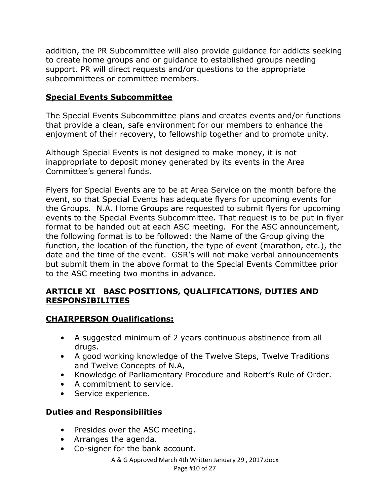addition, the PR Subcommittee will also provide guidance for addicts seeking to create home groups and or guidance to established groups needing support. PR will direct requests and/or questions to the appropriate subcommittees or committee members.

#### **Special Events Subcommittee**

The Special Events Subcommittee plans and creates events and/or functions that provide a clean, safe environment for our members to enhance the enjoyment of their recovery, to fellowship together and to promote unity.

Although Special Events is not designed to make money, it is not inappropriate to deposit money generated by its events in the Area Committee's general funds.

Flyers for Special Events are to be at Area Service on the month before the event, so that Special Events has adequate flyers for upcoming events for the Groups. N.A. Home Groups are requested to submit flyers for upcoming events to the Special Events Subcommittee. That request is to be put in flyer format to be handed out at each ASC meeting. For the ASC announcement, the following format is to be followed: the Name of the Group giving the function, the location of the function, the type of event (marathon, etc.), the date and the time of the event. GSR's will not make verbal announcements but submit them in the above format to the Special Events Committee prior to the ASC meeting two months in advance.

#### **ARTICLE XI BASC POSITIONS, QUALIFICATIONS, DUTIES AND RESPONSIBILITIES**

#### **CHAIRPERSON Qualifications:**

- A suggested minimum of 2 years continuous abstinence from all drugs.
- A good working knowledge of the Twelve Steps, Twelve Traditions and Twelve Concepts of N.A,
- Knowledge of Parliamentary Procedure and Robert's Rule of Order.
- A commitment to service.
- Service experience.

## **Duties and Responsibilities**

- Presides over the ASC meeting.
- Arranges the agenda.
- Co-signer for the bank account.

A & G Approved March 4th Written January 29 , 2017.docx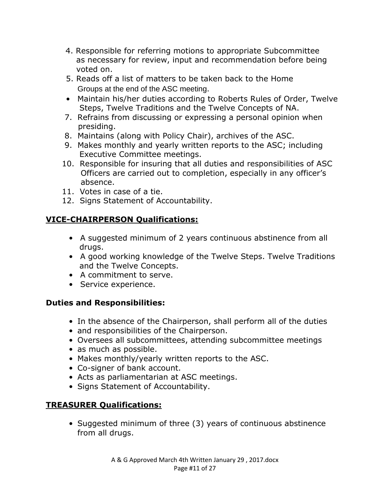- 4. Responsible for referring motions to appropriate Subcommittee as necessary for review, input and recommendation before being voted on.
- 5. Reads off a list of matters to be taken back to the Home Groups at the end of the ASC meeting.
- Maintain his/her duties according to Roberts Rules of Order, Twelve Steps, Twelve Traditions and the Twelve Concepts of NA.
- 7. Refrains from discussing or expressing a personal opinion when presiding.
- 8. Maintains (along with Policy Chair), archives of the ASC.
- 9. Makes monthly and yearly written reports to the ASC; including Executive Committee meetings.
- 10. Responsible for insuring that all duties and responsibilities of ASC Officers are carried out to completion, especially in any officer's absence.
- 11. Votes in case of a tie.
- 12. Signs Statement of Accountability.

#### **VICE-CHAIRPERSON Qualifications:**

- A suggested minimum of 2 years continuous abstinence from all drugs.
- A good working knowledge of the Twelve Steps. Twelve Traditions and the Twelve Concepts.
- A commitment to serve.
- Service experience.

#### **Duties and Responsibilities:**

- In the absence of the Chairperson, shall perform all of the duties
- and responsibilities of the Chairperson.
- Oversees all subcommittees, attending subcommittee meetings
- as much as possible.
- Makes monthly/yearly written reports to the ASC.
- Co-signer of bank account.
- Acts as parliamentarian at ASC meetings.
- Signs Statement of Accountability.

## **TREASURER Qualifications:**

• Suggested minimum of three (3) years of continuous abstinence from all drugs.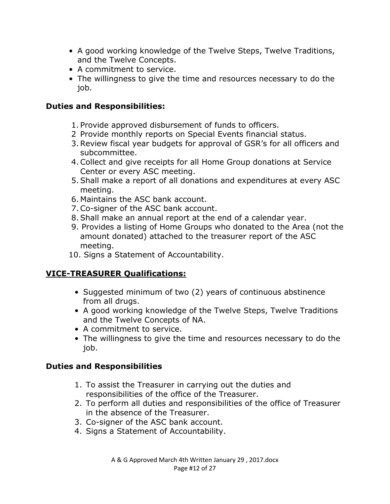- A good working knowledge of the Twelve Steps, Twelve Traditions, and the Twelve Concepts.
- A commitment to service.
- The willingness to give the time and resources necessary to do the job.

#### **Duties and Responsibilities:**

- 1. Provide approved disbursement of funds to officers.
- 2 Provide monthly reports on Special Events financial status.
- 3.Review fiscal year budgets for approval of GSR's for all officers and subcommittee.
- 4.Collect and give receipts for all Home Group donations at Service Center or every ASC meeting.
- 5.Shall make a report of all donations and expenditures at every ASC meeting.
- 6. Maintains the ASC bank account.
- 7.Co-signer of the ASC bank account.
- 8.Shall make an annual report at the end of a calendar year.
- 9. Provides a listing of Home Groups who donated to the Area (not the amount donated) attached to the treasurer report of the ASC meeting.
- 10. Signs a Statement of Accountability.

#### **VICE-TREASURER Qualifications:**

- Suggested minimum of two (2) years of continuous abstinence from all drugs.
- A good working knowledge of the Twelve Steps, Twelve Traditions and the Twelve Concepts of NA.
- A commitment to service.
- The willingness to give the time and resources necessary to do the job.

#### **Duties and Responsibilities**

- 1. To assist the Treasurer in carrying out the duties and responsibilities of the office of the Treasurer.
- 2. To perform all duties and responsibilities of the office of Treasurer in the absence of the Treasurer.
- 3. Co-signer of the ASC bank account.
- 4. Signs a Statement of Accountability.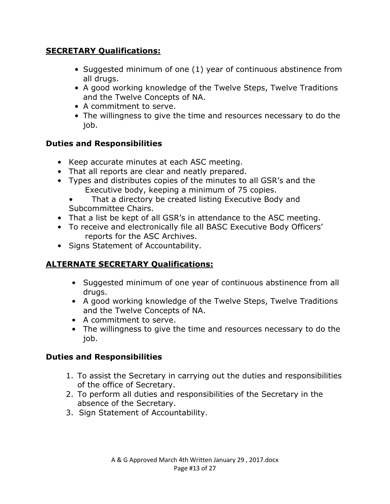#### **SECRETARY Qualifications:**

- Suggested minimum of one (1) year of continuous abstinence from all drugs.
- A good working knowledge of the Twelve Steps, Twelve Traditions and the Twelve Concepts of NA.
- A commitment to serve.
- The willingness to give the time and resources necessary to do the job.

#### **Duties and Responsibilities**

- Keep accurate minutes at each ASC meeting.
- That all reports are clear and neatly prepared.
- Types and distributes copies of the minutes to all GSR's and the Executive body, keeping a minimum of 75 copies.
	- That a directory be created listing Executive Body and Subcommittee Chairs.
- That a list be kept of all GSR's in attendance to the ASC meeting.
- To receive and electronically file all BASC Executive Body Officers' reports for the ASC Archives.
- Signs Statement of Accountability.

## **ALTERNATE SECRETARY Qualifications:**

- Suggested minimum of one year of continuous abstinence from all drugs.
- A good working knowledge of the Twelve Steps, Twelve Traditions and the Twelve Concepts of NA.
- A commitment to serve.
- The willingness to give the time and resources necessary to do the job.

#### **Duties and Responsibilities**

- 1. To assist the Secretary in carrying out the duties and responsibilities of the office of Secretary.
- 2. To perform all duties and responsibilities of the Secretary in the absence of the Secretary.
- 3. Sign Statement of Accountability.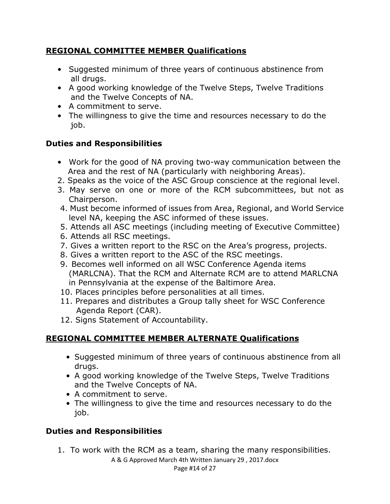#### **REGIONAL COMMITTEE MEMBER Qualifications**

- Suggested minimum of three years of continuous abstinence from all drugs.
- A good working knowledge of the Twelve Steps, Twelve Traditions and the Twelve Concepts of NA.
- A commitment to serve.
- The willingness to give the time and resources necessary to do the job.

#### **Duties and Responsibilities**

- Work for the good of NA proving two-way communication between the Area and the rest of NA (particularly with neighboring Areas).
- 2. Speaks as the voice of the ASC Group conscience at the regional level.
- 3. May serve on one or more of the RCM subcommittees, but not as Chairperson.
- 4. Must become informed of issues from Area, Regional, and World Service level NA, keeping the ASC informed of these issues.
- 5. Attends all ASC meetings (including meeting of Executive Committee)
- 6. Attends all RSC meetings.
- 7. Gives a written report to the RSC on the Area's progress, projects.
- 8. Gives a written report to the ASC of the RSC meetings.
- 9. Becomes well informed on all WSC Conference Agenda items (MARLCNA). That the RCM and Alternate RCM are to attend MARLCNA in Pennsylvania at the expense of the Baltimore Area.
- 10. Places principles before personalities at all times.
- 11. Prepares and distributes a Group tally sheet for WSC Conference Agenda Report (CAR).
- 12. Signs Statement of Accountability.

## **REGIONAL COMMITTEE MEMBER ALTERNATE Qualifications**

- Suggested minimum of three years of continuous abstinence from all drugs.
- A good working knowledge of the Twelve Steps, Twelve Traditions and the Twelve Concepts of NA.
- A commitment to serve.
- The willingness to give the time and resources necessary to do the job.

#### **Duties and Responsibilities**

1. To work with the RCM as a team, sharing the many responsibilities.

A & G Approved March 4th Written January 29 , 2017.docx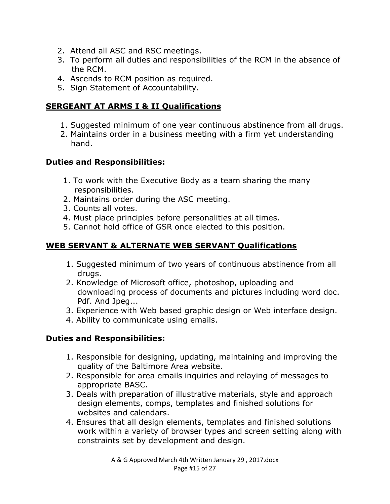- 2. Attend all ASC and RSC meetings.
- 3. To perform all duties and responsibilities of the RCM in the absence of the RCM.
- 4. Ascends to RCM position as required.
- 5. Sign Statement of Accountability.

#### **SERGEANT AT ARMS I & II Qualifications**

- 1. Suggested minimum of one year continuous abstinence from all drugs.
- 2. Maintains order in a business meeting with a firm yet understanding hand.

#### **Duties and Responsibilities:**

- 1. To work with the Executive Body as a team sharing the many responsibilities.
- 2. Maintains order during the ASC meeting.
- 3. Counts all votes.
- 4. Must place principles before personalities at all times.
- 5. Cannot hold office of GSR once elected to this position.

#### **WEB SERVANT & ALTERNATE WEB SERVANT Qualifications**

- 1. Suggested minimum of two years of continuous abstinence from all drugs.
- 2. Knowledge of Microsoft office, photoshop, uploading and downloading process of documents and pictures including word doc. Pdf. And Jpeg...
- 3. Experience with Web based graphic design or Web interface design.
- 4. Ability to communicate using emails.

#### **Duties and Responsibilities:**

- 1. Responsible for designing, updating, maintaining and improving the quality of the Baltimore Area website.
- 2. Responsible for area emails inquiries and relaying of messages to appropriate BASC.
- 3. Deals with preparation of illustrative materials, style and approach design elements, comps, templates and finished solutions for websites and calendars.
- 4. Ensures that all design elements, templates and finished solutions work within a variety of browser types and screen setting along with constraints set by development and design.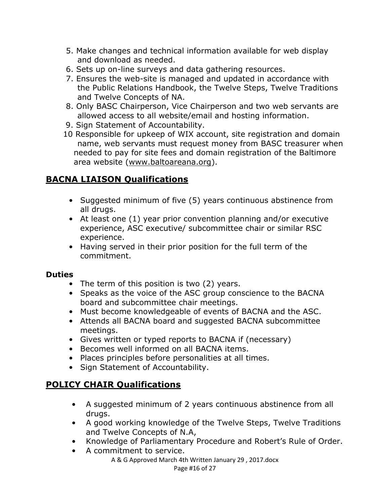- 5. Make changes and technical information available for web display and download as needed.
- 6. Sets up on-line surveys and data gathering resources.
- 7. Ensures the web-site is managed and updated in accordance with the Public Relations Handbook, the Twelve Steps, Twelve Traditions and Twelve Concepts of NA.
- 8. Only BASC Chairperson, Vice Chairperson and two web servants are allowed access to all website/email and hosting information.
- 9. Sign Statement of Accountability.
- 10 Responsible for upkeep of WIX account, site registration and domain name, web servants must request money from BASC treasurer when needed to pay for site fees and domain registration of the Baltimore area website [\(www.baltoareana.org\)](http://www.baltoareana.org/).

## **BACNA LIAISON Qualifications**

- Suggested minimum of five (5) years continuous abstinence from all drugs.
- At least one (1) year prior convention planning and/or executive experience, ASC executive/ subcommittee chair or similar RSC experience.
- Having served in their prior position for the full term of the commitment.

#### **Duties**

- The term of this position is two (2) years.
- Speaks as the voice of the ASC group conscience to the BACNA board and subcommittee chair meetings.
- Must become knowledgeable of events of BACNA and the ASC.
- Attends all BACNA board and suggested BACNA subcommittee meetings.
- Gives written or typed reports to BACNA if (necessary)
- Becomes well informed on all BACNA items.
- Places principles before personalities at all times.
- Sign Statement of Accountability.

## **POLICY CHAIR Qualifications**

- A suggested minimum of 2 years continuous abstinence from all drugs.
- A good working knowledge of the Twelve Steps, Twelve Traditions and Twelve Concepts of N.A,
- Knowledge of Parliamentary Procedure and Robert's Rule of Order.
- A commitment to service.
	- A & G Approved March 4th Written January 29 , 2017.docx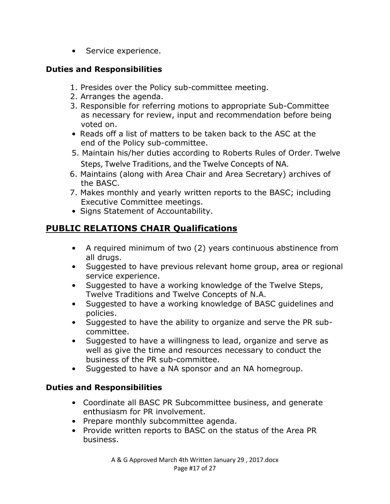• Service experience.

#### **Duties and Responsibilities**

- 1. Presides over the Policy sub-committee meeting.
- 2. Arranges the agenda.
- 3. Responsible for referring motions to appropriate Sub-Committee as necessary for review, input and recommendation before being voted on.
- Reads off a list of matters to be taken back to the ASC at the end of the Policy sub-committee.
- 5. Maintain his/her duties according to Roberts Rules of Order. Twelve Steps, Twelve Traditions, and the Twelve Concepts of NA.
- 6. Maintains (along with Area Chair and Area Secretary) archives of the BASC.
- 7. Makes monthly and yearly written reports to the BASC; including Executive Committee meetings.
- Signs Statement of Accountability.

## **PUBLIC RELATIONS CHAIR Qualifications**

- A required minimum of two (2) years continuous abstinence from all drugs.
- Suggested to have previous relevant home group, area or regional service experience.
- Suggested to have a working knowledge of the Twelve Steps, Twelve Traditions and Twelve Concepts of N.A.
- Suggested to have a working knowledge of BASC guidelines and policies.
- Suggested to have the ability to organize and serve the PR subcommittee.
- Suggested to have a willingness to lead, organize and serve as well as give the time and resources necessary to conduct the business of the PR sub-committee.
- Suggested to have a NA sponsor and an NA homegroup.

#### **Duties and Responsibilities**

- Coordinate all BASC PR Subcommittee business, and generate enthusiasm for PR involvement.
- Prepare monthly subcommittee agenda.
- Provide written reports to BASC on the status of the Area PR business.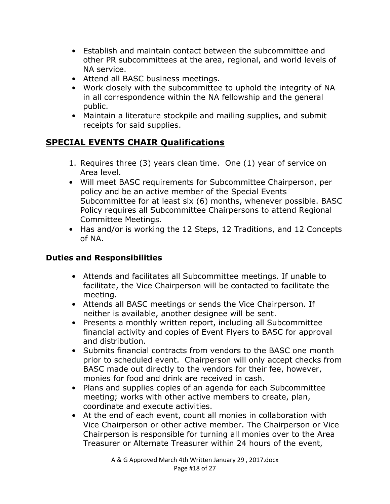- Establish and maintain contact between the subcommittee and other PR subcommittees at the area, regional, and world levels of NA service.
- Attend all BASC business meetings.
- Work closely with the subcommittee to uphold the integrity of NA in all correspondence within the NA fellowship and the general public.
- Maintain a literature stockpile and mailing supplies, and submit receipts for said supplies.

## **SPECIAL EVENTS CHAIR Qualifications**

- 1. Requires three (3) years clean time. One (1) year of service on Area level.
- Will meet BASC requirements for Subcommittee Chairperson, per policy and be an active member of the Special Events Subcommittee for at least six (6) months, whenever possible. BASC Policy requires all Subcommittee Chairpersons to attend Regional Committee Meetings.
- Has and/or is working the 12 Steps, 12 Traditions, and 12 Concepts of NA.

#### **Duties and Responsibilities**

- Attends and facilitates all Subcommittee meetings. If unable to facilitate, the Vice Chairperson will be contacted to facilitate the meeting.
- Attends all BASC meetings or sends the Vice Chairperson. If neither is available, another designee will be sent.
- Presents a monthly written report, including all Subcommittee financial activity and copies of Event Flyers to BASC for approval and distribution.
- Submits financial contracts from vendors to the BASC one month prior to scheduled event. Chairperson will only accept checks from BASC made out directly to the vendors for their fee, however, monies for food and drink are received in cash.
- Plans and supplies copies of an agenda for each Subcommittee meeting; works with other active members to create, plan, coordinate and execute activities.
- At the end of each event, count all monies in collaboration with Vice Chairperson or other active member. The Chairperson or Vice Chairperson is responsible for turning all monies over to the Area Treasurer or Alternate Treasurer within 24 hours of the event,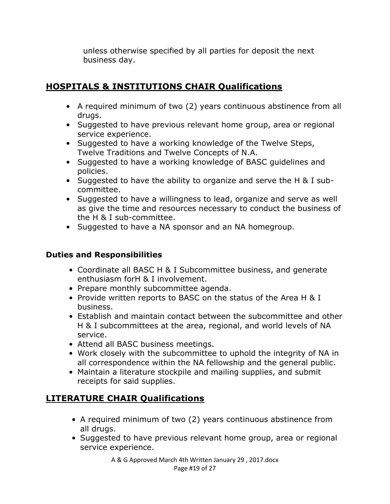unless otherwise specified by all parties for deposit the next business day.

## **HOSPITALS & INSTITUTIONS CHAIR Qualifications**

- A required minimum of two (2) years continuous abstinence from all drugs.
- Suggested to have previous relevant home group, area or regional service experience.
- Suggested to have a working knowledge of the Twelve Steps, Twelve Traditions and Twelve Concepts of N.A.
- Suggested to have a working knowledge of BASC guidelines and policies.
- Suggested to have the ability to organize and serve the H & I subcommittee.
- Suggested to have a willingness to lead, organize and serve as well as give the time and resources necessary to conduct the business of the H & I sub-committee.
- Suggested to have a NA sponsor and an NA homegroup.

### **Duties and Responsibilities**

- Coordinate all BASC H & I Subcommittee business, and generate enthusiasm forH & I involvement.
- Prepare monthly subcommittee agenda.
- Provide written reports to BASC on the status of the Area H & I business.
- Establish and maintain contact between the subcommittee and other H & I subcommittees at the area, regional, and world levels of NA service.
- Attend all BASC business meetings.
- Work closely with the subcommittee to uphold the integrity of NA in all correspondence within the NA fellowship and the general public.
- Maintain a literature stockpile and mailing supplies, and submit receipts for said supplies.

## **LITERATURE CHAIR Qualifications**

- A required minimum of two (2) years continuous abstinence from all drugs.
- Suggested to have previous relevant home group, area or regional service experience.

A & G Approved March 4th Written January 29 , 2017.docx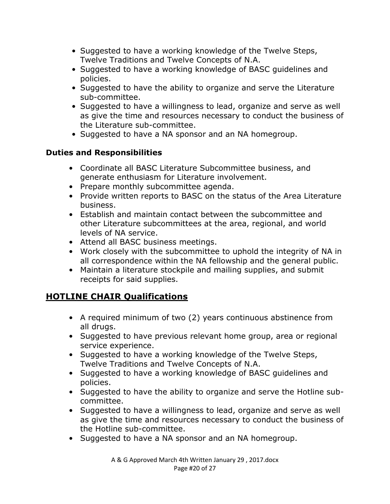- Suggested to have a working knowledge of the Twelve Steps, Twelve Traditions and Twelve Concepts of N.A.
- Suggested to have a working knowledge of BASC guidelines and policies.
- Suggested to have the ability to organize and serve the Literature sub-committee.
- Suggested to have a willingness to lead, organize and serve as well as give the time and resources necessary to conduct the business of the Literature sub-committee.
- Suggested to have a NA sponsor and an NA homegroup.

#### **Duties and Responsibilities**

- Coordinate all BASC Literature Subcommittee business, and generate enthusiasm for Literature involvement.
- Prepare monthly subcommittee agenda.
- Provide written reports to BASC on the status of the Area Literature business.
- Establish and maintain contact between the subcommittee and other Literature subcommittees at the area, regional, and world levels of NA service.
- Attend all BASC business meetings.
- Work closely with the subcommittee to uphold the integrity of NA in all correspondence within the NA fellowship and the general public.
- Maintain a literature stockpile and mailing supplies, and submit receipts for said supplies.

## **HOTLINE CHAIR Qualifications**

- A required minimum of two (2) years continuous abstinence from all drugs.
- Suggested to have previous relevant home group, area or regional service experience.
- Suggested to have a working knowledge of the Twelve Steps, Twelve Traditions and Twelve Concepts of N.A.
- Suggested to have a working knowledge of BASC guidelines and policies.
- Suggested to have the ability to organize and serve the Hotline subcommittee.
- Suggested to have a willingness to lead, organize and serve as well as give the time and resources necessary to conduct the business of the Hotline sub-committee.
- Suggested to have a NA sponsor and an NA homegroup.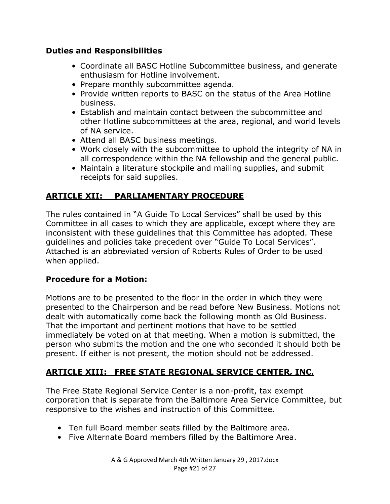#### **Duties and Responsibilities**

- Coordinate all BASC Hotline Subcommittee business, and generate enthusiasm for Hotline involvement.
- Prepare monthly subcommittee agenda.
- Provide written reports to BASC on the status of the Area Hotline business.
- Establish and maintain contact between the subcommittee and other Hotline subcommittees at the area, regional, and world levels of NA service.
- Attend all BASC business meetings.
- Work closely with the subcommittee to uphold the integrity of NA in all correspondence within the NA fellowship and the general public.
- Maintain a literature stockpile and mailing supplies, and submit receipts for said supplies.

#### **ARTICLE XII: PARLIAMENTARY PROCEDURE**

The rules contained in "A Guide To Local Services" shall be used by this Committee in all cases to which they are applicable, except where they are inconsistent with these guidelines that this Committee has adopted. These guidelines and policies take precedent over "Guide To Local Services". Attached is an abbreviated version of Roberts Rules of Order to be used when applied.

#### **Procedure for a Motion:**

Motions are to be presented to the floor in the order in which they were presented to the Chairperson and be read before New Business. Motions not dealt with automatically come back the following month as Old Business. That the important and pertinent motions that have to be settled immediately be voted on at that meeting. When a motion is submitted, the person who submits the motion and the one who seconded it should both be present. If either is not present, the motion should not be addressed.

#### **ARTICLE XIII: FREE STATE REGIONAL SERVICE CENTER, INC.**

The Free State Regional Service Center is a non-profit, tax exempt corporation that is separate from the Baltimore Area Service Committee, but responsive to the wishes and instruction of this Committee.

- Ten full Board member seats filled by the Baltimore area.
- Five Alternate Board members filled by the Baltimore Area.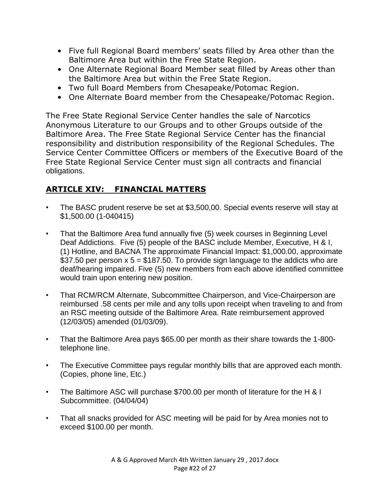- Five full Regional Board members' seats filled by Area other than the Baltimore Area but within the Free State Region.
- One Alternate Regional Board Member seat filled by Areas other than the Baltimore Area but within the Free State Region.
- Two full Board Members from Chesapeake/Potomac Region.
- One Alternate Board member from the Chesapeake/Potomac Region.

The Free State Regional Service Center handles the sale of Narcotics Anonymous Literature to our Groups and to other Groups outside of the Baltimore Area. The Free State Regional Service Center has the financial responsibility and distribution responsibility of the Regional Schedules. The Service Center Committee Officers or members of the Executive Board of the Free State Regional Service Center must sign all contracts and financial obligations.

#### **ARTICLE XIV: FINANCIAL MATTERS**

- The BASC prudent reserve be set at \$3,500,00. Special events reserve will stay at \$1,500.00 (1-040415)
- That the Baltimore Area fund annually five (5) week courses in Beginning Level Deaf Addictions. Five (5) people of the BASC include Member, Executive, H & I, (1) Hotline, and BACNA The approximate Financial Impact: \$1,000.00, approximate \$37.50 per person  $x$  5 = \$187.50. To provide sign language to the addicts who are deaf/hearing impaired. Five (5) new members from each above identified committee would train upon entering new position.
- That RCM/RCM Alternate, Subcommittee Chairperson, and Vice-Chairperson are reimbursed .58 cents per mile and any tolls upon receipt when traveling to and from an RSC meeting outside of the Baltimore Area. Rate reimbursement approved (12/03/05) amended (01/03/09).
- That the Baltimore Area pays \$65.00 per month as their share towards the 1-800 telephone line.
- The Executive Committee pays regular monthly bills that are approved each month. (Copies, phone line, Etc.)
- The Baltimore ASC will purchase \$700.00 per month of literature for the H & I Subcommittee. (04/04/04)
- That all snacks provided for ASC meeting will be paid for by Area monies not to exceed \$100.00 per month.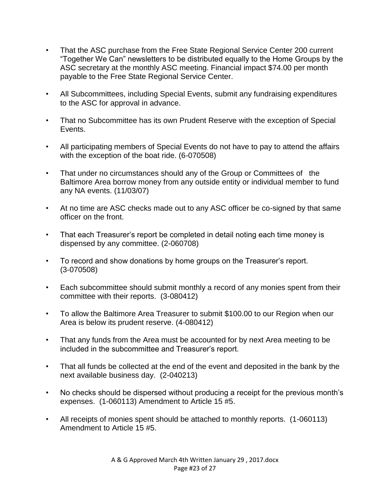- That the ASC purchase from the Free State Regional Service Center 200 current "Together We Can" newsletters to be distributed equally to the Home Groups by the ASC secretary at the monthly ASC meeting. Financial impact \$74.00 per month payable to the Free State Regional Service Center.
- All Subcommittees, including Special Events, submit any fundraising expenditures to the ASC for approval in advance.
- That no Subcommittee has its own Prudent Reserve with the exception of Special Events.
- All participating members of Special Events do not have to pay to attend the affairs with the exception of the boat ride. (6-070508)
- That under no circumstances should any of the Group or Committees of the Baltimore Area borrow money from any outside entity or individual member to fund any NA events. (11/03/07)
- At no time are ASC checks made out to any ASC officer be co-signed by that same officer on the front.
- That each Treasurer's report be completed in detail noting each time money is dispensed by any committee. (2-060708)
- To record and show donations by home groups on the Treasurer's report. (3-070508)
- Each subcommittee should submit monthly a record of any monies spent from their committee with their reports. (3-080412)
- To allow the Baltimore Area Treasurer to submit \$100.00 to our Region when our Area is below its prudent reserve. (4-080412)
- That any funds from the Area must be accounted for by next Area meeting to be included in the subcommittee and Treasurer's report.
- That all funds be collected at the end of the event and deposited in the bank by the next available business day. (2-040213)
- No checks should be dispersed without producing a receipt for the previous month's expenses. (1-060113) Amendment to Article 15 #5.
- All receipts of monies spent should be attached to monthly reports. (1-060113) Amendment to Article 15 #5.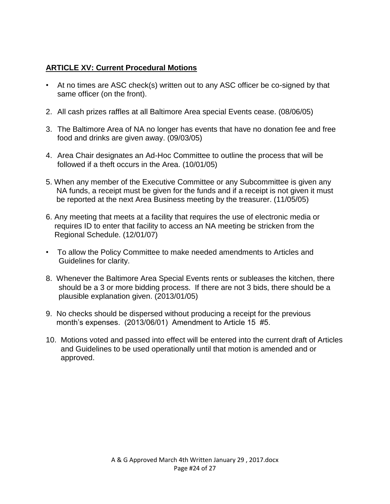#### **ARTICLE XV: Current Procedural Motions**

- At no times are ASC check(s) written out to any ASC officer be co-signed by that same officer (on the front).
- 2. All cash prizes raffles at all Baltimore Area special Events cease. (08/06/05)
- 3. The Baltimore Area of NA no longer has events that have no donation fee and free food and drinks are given away. (09/03/05)
- 4. Area Chair designates an Ad-Hoc Committee to outline the process that will be followed if a theft occurs in the Area. (10/01/05)
- 5. When any member of the Executive Committee or any Subcommittee is given any NA funds, a receipt must be given for the funds and if a receipt is not given it must be reported at the next Area Business meeting by the treasurer. (11/05/05)
- 6. Any meeting that meets at a facility that requires the use of electronic media or requires ID to enter that facility to access an NA meeting be stricken from the Regional Schedule. (12/01/07)
- To allow the Policy Committee to make needed amendments to Articles and Guidelines for clarity.
- 8. Whenever the Baltimore Area Special Events rents or subleases the kitchen, there should be a 3 or more bidding process. If there are not 3 bids, there should be a plausible explanation given. (2013/01/05)
- 9. No checks should be dispersed without producing a receipt for the previous month's expenses. (2013/06/01) Amendment to Article 15 #5.
- 10. Motions voted and passed into effect will be entered into the current draft of Articles and Guidelines to be used operationally until that motion is amended and or approved.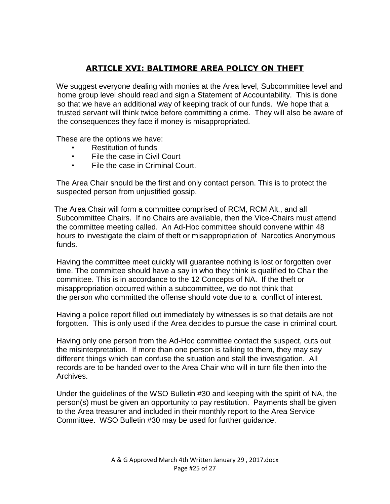#### **ARTICLE XVI: BALTIMORE AREA POLICY ON THEFT**

 We suggest everyone dealing with monies at the Area level, Subcommittee level and home group level should read and sign a Statement of Accountability. This is done so that we have an additional way of keeping track of our funds. We hope that a trusted servant will think twice before committing a crime. They will also be aware of the consequences they face if money is misappropriated.

These are the options we have:

- Restitution of funds
- File the case in Civil Court
- File the case in Criminal Court.

 The Area Chair should be the first and only contact person. This is to protect the suspected person from unjustified gossip.

The Area Chair will form a committee comprised of RCM, RCM Alt., and all Subcommittee Chairs. If no Chairs are available, then the Vice-Chairs must attend the committee meeting called. An Ad-Hoc committee should convene within 48 hours to investigate the claim of theft or misappropriation of Narcotics Anonymous funds.

Having the committee meet quickly will guarantee nothing is lost or forgotten over time. The committee should have a say in who they think is qualified to Chair the committee. This is in accordance to the 12 Concepts of NA. If the theft or misappropriation occurred within a subcommittee, we do not think that the person who committed the offense should vote due to a conflict of interest.

 Having a police report filled out immediately by witnesses is so that details are not forgotten. This is only used if the Area decides to pursue the case in criminal court.

 Having only one person from the Ad-Hoc committee contact the suspect, cuts out the misinterpretation. If more than one person is talking to them, they may say different things which can confuse the situation and stall the investigation. All records are to be handed over to the Area Chair who will in turn file then into the Archives.

 Under the guidelines of the WSO Bulletin #30 and keeping with the spirit of NA, the person(s) must be given an opportunity to pay restitution. Payments shall be given to the Area treasurer and included in their monthly report to the Area Service Committee. WSO Bulletin #30 may be used for further guidance.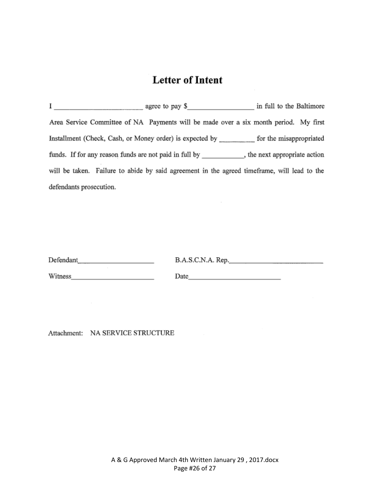## **Letter of Intent**

Area Service Committee of NA Payments will be made over a six month period. My first Installment (Check, Cash, or Money order) is expected by \_\_\_\_\_\_\_\_\_ for the misappropriated funds. If for any reason funds are not paid in full by \_\_\_\_\_\_\_\_\_\_, the next appropriate action will be taken. Failure to abide by said agreement in the agreed timeframe, will lead to the defendants prosecution.

| Defendant | B.A.S.C.N.A. Rep. |  |
|-----------|-------------------|--|
|-----------|-------------------|--|

Witness\_

Date\_

Attachment: NA SERVICE STRUCTURE